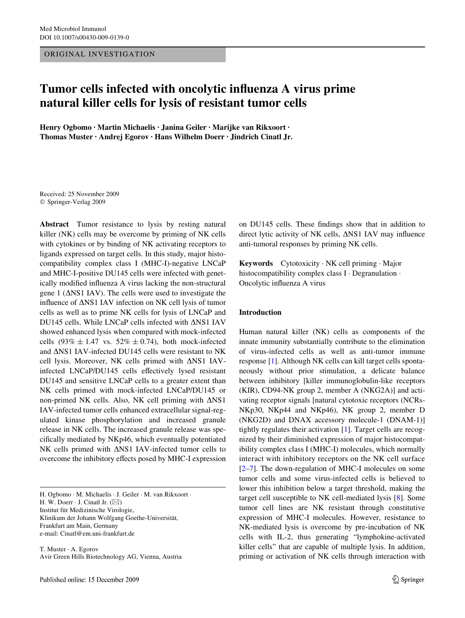#### ORIGINAL INVESTIGATION

# **Tumor cells infected with oncolytic influenza A virus prime natural killer cells for lysis of resistant tumor cells**

**Henry Ogbomo · Martin Michaelis · Janina Geiler · Marijke van Rikxoort · Thomas Muster · Andrej Egorov · Hans Wilhelm Doerr · Jindrich Cinatl Jr.** 

Received: 25 November 2009 © Springer-Verlag 2009

**Abstract** Tumor resistance to lysis by resting natural killer (NK) cells may be overcome by priming of NK cells with cytokines or by binding of NK activating receptors to ligands expressed on target cells. In this study, major histocompatibility complex class I (MHC-I)-negative LNCaP and MHC-I-positive DU145 cells were infected with genetically modified influenza A virus lacking the non-structural gene 1 ( $\Delta$ NS1 IAV). The cells were used to investigate the influence of  $\Delta$ NS1 IAV infection on NK cell lysis of tumor cells as well as to prime NK cells for lysis of LNCaP and DU145 cells. While LNCaP cells infected with  $\Delta$ NS1 IAV showed enhanced lysis when compared with mock-infected cells  $(93\% \pm 1.47 \text{ vs. } 52\% \pm 0.74)$ , both mock-infected and  $\Delta$ NS1 IAV-infected DU145 cells were resistant to NK cell lysis. Moreover, NK cells primed with  $\triangle$ NS1 IAVinfected LNCaP/DU145 cells effectively lysed resistant DU145 and sensitive LNCaP cells to a greater extent than NK cells primed with mock-infected LNCaP/DU145 or non-primed NK cells. Also, NK cell priming with  $\Delta$ NS1 IAV-infected tumor cells enhanced extracellular signal-regulated kinase phosphorylation and increased granule release in NK cells. The increased granule release was specifically mediated by NKp46, which eventually potentiated NK cells primed with  $\Delta$ NS1 IAV-infected tumor cells to overcome the inhibitory effects posed by MHC-I expression

H. Ogbomo · M. Michaelis · J. Geiler · M. van Rikxoort · H. W. Doerr  $\cdot$  J. Cinatl Jr. ( $\boxtimes$ ) Institut für Medizinische Virologie, Klinikum der Johann Wolfgang Goethe-Universität, Frankfurt am Main, Germany e-mail: Cinatl@em.uni-frankfurt.de

T. Muster · A. Egorov Avir Green Hills Biotechnology AG, Vienna, Austria on DU145 cells. These findings show that in addition to direct lytic activity of NK cells,  $\Delta$ NS1 IAV may influence anti-tumoral responses by priming NK cells.

**Keywords** Cytotoxicity · NK cell priming · Major histocompatibility complex class I · Degranulation · Oncolytic influenza A virus

#### **Introduction**

Human natural killer (NK) cells as components of the innate immunity substantially contribute to the elimination of virus-infected cells as well as anti-tumor immune response [[1\]](#page-7-0). Although NK cells can kill target cells spontaneously without prior stimulation, a delicate balance between inhibitory [killer immunoglobulin-like receptors (KIR), CD94-NK group 2, member A (NKG2A)] and activating receptor signals [natural cytotoxic receptors (NCRs-NKp30, NKp44 and NKp46), NK group 2, member D (NKG2D) and DNAX accessory molecule-1 (DNAM-1)] tightly regulates their activation [\[1](#page-7-0)]. Target cells are recognized by their diminished expression of major histocompatibility complex class I (MHC-I) molecules, which normally interact with inhibitory receptors on the NK cell surface [\[2](#page-7-1)[–7](#page-8-0)]. The down-regulation of MHC-I molecules on some tumor cells and some virus-infected cells is believed to lower this inhibition below a target threshold, making the target cell susceptible to NK cell-mediated lysis [[8\]](#page-8-1). Some tumor cell lines are NK resistant through constitutive expression of MHC-I molecules. However, resistance to NK-mediated lysis is overcome by pre-incubation of NK cells with IL-2, thus generating "lymphokine-activated killer cells" that are capable of multiple lysis. In addition, priming or activation of NK cells through interaction with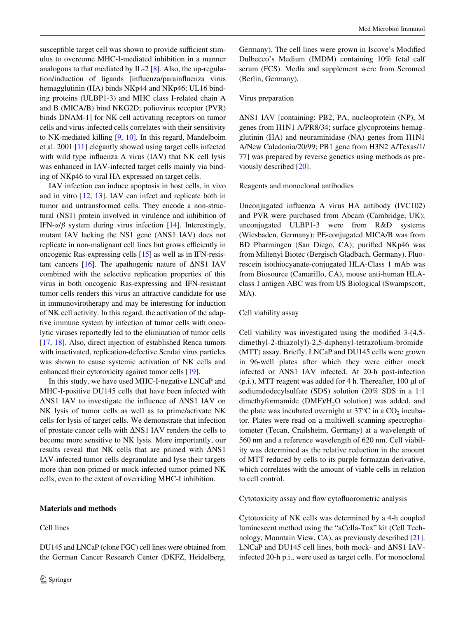susceptible target cell was shown to provide sufficient stimulus to overcome MHC-I-mediated inhibition in a manner analogous to that mediated by IL-2 [\[8](#page-8-1)]. Also, the up-regulation/induction of ligands [influenza/parainfluenza virus hemagglutinin (HA) binds NKp44 and NKp46; UL16 binding proteins (ULBP1-3) and MHC class I-related chain A and B (MICA/B) bind NKG2D; poliovirus receptor (PVR) binds DNAM-1] for NK cell activating receptors on tumor cells and virus-infected cells correlates with their sensitivity to NK-mediated killing [\[9](#page-8-2), [10\]](#page-8-3). In this regard, Mandelboim et al. 2001 [[11\]](#page-8-4) elegantly showed using target cells infected with wild type influenza A virus (IAV) that  $NK$  cell lysis was enhanced in IAV-infected target cells mainly via binding of NKp46 to viral HA expressed on target cells.

IAV infection can induce apoptosis in host cells, in vivo and in vitro [[12](#page-8-5), [13](#page-8-6)]. IAV can infect and replicate both in tumor and untransformed cells. They encode a non-structural (NS1) protein involved in virulence and inhibition of IFN- $\alpha/\beta$  system during virus infection [[14\]](#page-8-7). Interestingly, mutant IAV lacking the NS1 gene  $(ANS1 \text{ IAV})$  does not replicate in non-malignant cell lines but grows efficiently in oncogenic Ras-expressing cells [\[15](#page-8-8)] as well as in IFN-resis-tant cancers [[16\]](#page-8-9). The apathogenic nature of  $\triangle$ NS1 IAV combined with the selective replication properties of this virus in both oncogenic Ras-expressing and IFN-resistant tumor cells renders this virus an attractive candidate for use in immunovirotherapy and may be interesting for induction of NK cell activity. In this regard, the activation of the adaptive immune system by infection of tumor cells with oncolytic viruses reportedly led to the elimination of tumor cells [\[17](#page-8-10), [18\]](#page-8-11). Also, direct injection of established Renca tumors with inactivated, replication-defective Sendai virus particles was shown to cause systemic activation of NK cells and enhanced their cytotoxicity against tumor cells [\[19](#page-8-12)].

In this study, we have used MHC-I-negative LNCaP and MHC-I-positive DU145 cells that have been infected with  $\triangle$ NS1 IAV to investigate the influence of  $\triangle$ NS1 IAV on NK lysis of tumor cells as well as to prime/activate NK cells for lysis of target cells. We demonstrate that infection of prostate cancer cells with NS1 IAV renders the cells to become more sensitive to NK lysis. More importantly, our results reveal that NK cells that are primed with  $\Delta$ NS1 IAV-infected tumor cells degranulate and lyse their targets more than non-primed or mock-infected tumor-primed NK cells, even to the extent of overriding MHC-I inhibition.

## **Materials and methods**

Cell lines

DU145 and LNCaP (clone FGC) cell lines were obtained from

the German Cancer Research Center (DKFZ, Heidelberg,

Germany). The cell lines were grown in Iscove's Modified Dulbecco's Medium (IMDM) containing 10% fetal calf serum (FCS). Media and supplement were from Seromed (Berlin, Germany).

## Virus preparation

NS1 IAV [containing: PB2, PA, nucleoprotein (NP), M genes from H1N1 A/PR8/34; surface glycoproteins hemagglutinin (HA) and neuraminidase (NA) genes from H1N1 A/New Caledonia/20/99; PB1 gene from H3N2 A/Texas/1/ 77] was prepared by reverse genetics using methods as previously described [\[20](#page-8-13)].

## Reagents and monoclonal antibodies

Unconjugated influenza A virus HA antibody (IVC102) and PVR were purchased from Abcam (Cambridge, UK); unconjugated ULBP1-3 were from R&D systems (Wiesbaden, Germany); PE-conjugated MICA/B was from BD Pharmingen (San Diego, CA); purified NKp46 was from Miltenyi Biotec (Bergisch Gladbach, Germany). Fluorescein isothiocyanate-conjugated HLA-Class 1 mAb was from Biosource (Camarillo, CA), mouse anti-human HLAclass 1 antigen ABC was from US Biological (Swampscott, MA).

## Cell viability assay

Cell viability was investigated using the modified  $3-(4,5$ dimethyl-2-thiazolyl)-2,5-diphenyl-tetrazolium-bromide  $(MTT)$  assay. Briefly, LNCaP and DU145 cells were grown in 96-well plates after which they were either mock infected or NS1 IAV infected. At 20-h post-infection  $(p.i.), MTT$  reagent was added for 4 h. Thereafter,  $100 \mu l$  of sodiumdodecylsulfate (SDS) solution (20% SDS in a 1:1 dimethyformamide (DMF)/H<sub>2</sub>O solution) was added, and the plate was incubated overnight at  $37^{\circ}$ C in a CO<sub>2</sub> incubator. Plates were read on a multiwell scanning spectrophotometer (Tecan, Crailsheim, Germany) at a wavelength of 560 nm and a reference wavelength of 620 nm. Cell viability was determined as the relative reduction in the amount of MTT reduced by cells to its purple formazan derivative, which correlates with the amount of viable cells in relation to cell control.

Cytotoxicity assay and flow cytofluorometric analysis

Cytotoxicity of NK cells was determined by a 4-h coupled luminescent method using the "aCella-Tox" kit (Cell Technology, Mountain View, CA), as previously described [\[21](#page-8-14)]. LNCaP and DU145 cell lines, both mock- and  $\Delta$ NS1 IAVinfected 20-h p.i., were used as target cells. For monoclonal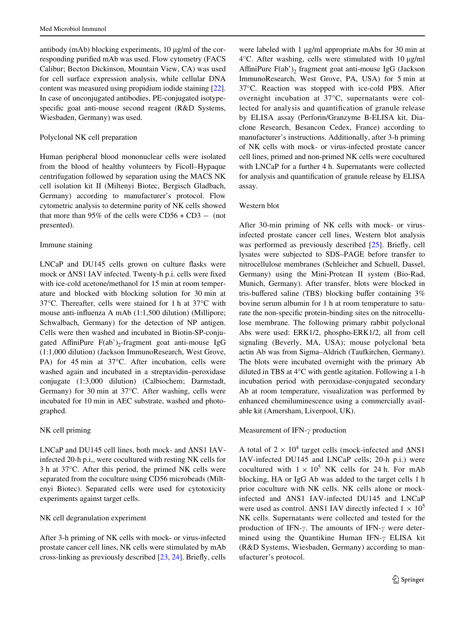antibody (mAb) blocking experiments, 10 µg/ml of the corresponding purified mAb was used. Flow cytometry (FACS Calibur; Becton Dickinson, Mountain View, CA) was used for cell surface expression analysis, while cellular DNA content was measured using propidium iodide staining [\[22](#page-8-15)]. In case of unconjugated antibodies, PE-conjugated isotypespecific goat anti-mouse second reagent (R&D Systems, Wiesbaden, Germany) was used.

## Polyclonal NK cell preparation

Human peripheral blood mononuclear cells were isolated from the blood of healthy volunteers by Ficoll–Hypaque centrifugation followed by separation using the MACS NK cell isolation kit II (Miltenyi Biotec, Bergisch Gladbach, Germany) according to manufacturer's protocol. Flow cytometric analysis to determine purity of NK cells showed that more than 95% of the cells were  $CD56 + CD3 - (not)$ presented).

# Immune staining

LNCaP and DU145 cells grown on culture flasks were mock or  $\Delta$ NS1 IAV infected. Twenty-h p.i. cells were fixed with ice-cold acetone/methanol for 15 min at room temperature and blocked with blocking solution for 30 min at 37°C. Thereafter, cells were stained for 1 h at 37°C with mouse anti-influenza A mAb  $(1:1,500$  dilution) (Millipore; Schwalbach, Germany) for the detection of NP antigen. Cells were then washed and incubated in Biotin-SP-conjugated AffiniPure  $F(ab')_2$ -fragment goat anti-mouse IgG (1:1,000 dilution) (Jackson ImmunoResearch, West Grove, PA) for 45 min at 37°C. After incubation, cells were washed again and incubated in a streptavidin–peroxidase conjugate (1:3,000 dilution) (Calbiochem; Darmstadt, Germany) for 30 min at 37°C. After washing, cells were incubated for 10 min in AEC substrate, washed and photographed.

# NK cell priming

LNCaP and DU145 cell lines, both mock- and  $\Delta$ NS1 IAVinfected 20-h p.i,, were cocultured with resting NK cells for 3 h at 37°C. After this period, the primed NK cells were separated from the coculture using CD56 microbeads (Miltenyi Biotec). Separated cells were used for cytotoxicity experiments against target cells.

## NK cell degranulation experiment

After 3-h priming of NK cells with mock- or virus-infected prostate cancer cell lines, NK cells were stimulated by mAb cross-linking as previously described [\[23](#page-8-16), [24\]](#page-8-17). Briefly, cells

were labeled with 1 µg/ml appropriate mAbs for 30 min at  $4^{\circ}$ C. After washing, cells were stimulated with 10  $\mu$ g/ml AffiniPure  $F(ab')$ , fragment goat anti-mouse IgG (Jackson ImmunoResearch, West Grove, PA, USA) for 5 min at 37°C. Reaction was stopped with ice-cold PBS. After overnight incubation at 37°C, supernatants were collected for analysis and quantification of granule release by ELISA assay (Perforin/Granzyme B-ELISA kit, Diaclone Research, Besancon Cedex, France) according to manufacturer's instructions. Additionally, after 3-h priming of NK cells with mock- or virus-infected prostate cancer cell lines, primed and non-primed NK cells were cocultured with LNCaP for a further 4 h. Supernatants were collected for analysis and quantification of granule release by ELISA assay.

## Western blot

After 30-min priming of NK cells with mock- or virusinfected prostate cancer cell lines, Western blot analysis was performed as previously described  $[25]$  $[25]$ . Briefly, cell lysates were subjected to SDS–PAGE before transfer to nitrocellulose membranes (Schleicher and Schuell, Dassel, Germany) using the Mini-Protean II system (Bio-Rad, Munich, Germany). After transfer, blots were blocked in tris-buffered saline (TBS) blocking buffer containing  $3\%$ bovine serum albumin for 1 h at room temperature to saturate the non-specific protein-binding sites on the nitrocellulose membrane. The following primary rabbit polyclonal Abs were used: ERK1/2, phospho-ERK1/2, all from cell signaling (Beverly, MA, USA); mouse polyclonal beta actin Ab was from Sigma–Aldrich (Taufkirchen, Germany). The blots were incubated overnight with the primary Ab diluted in TBS at 4°C with gentle agitation. Following a 1-h incubation period with peroxidase-conjugated secondary Ab at room temperature, visualization was performed by enhanced chemiluminescence using a commercially available kit (Amersham, Liverpool, UK).

## Measurement of IFN- $\gamma$  production

A total of  $2 \times 10^4$  target cells (mock-infected and  $\Delta$ NS1 IAV-infected DU145 and LNCaP cells; 20-h p.i.) were cocultured with  $1 \times 10^5$  NK cells for 24 h. For mAb blocking, HA or IgG Ab was added to the target cells 1 h prior coculture with NK cells. NK cells alone or mockinfected and NS1 IAV-infected DU145 and LNCaP were used as control.  $\triangle$ NS1 IAV directly infected  $1 \times 10^5$ NK cells. Supernatants were collected and tested for the production of IFN- $\gamma$ . The amounts of IFN- $\gamma$  were determined using the Quantikine Human IFN- $\gamma$  ELISA kit (R&D Systems, Wiesbaden, Germany) according to manufacturer's protocol.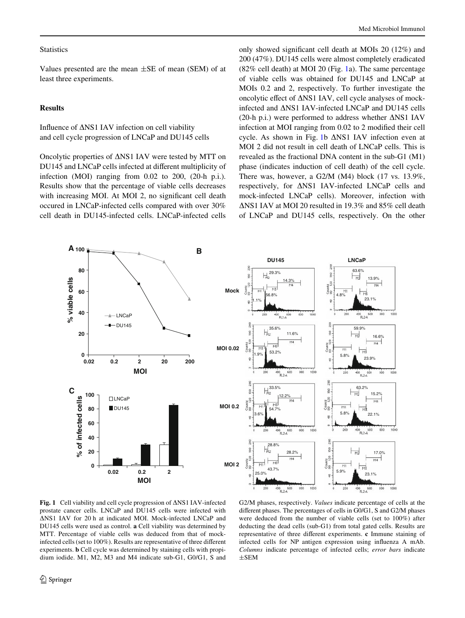# **Statistics**

Values presented are the mean  $\pm$ SE of mean (SEM) of at least three experiments.

## **Results**

Influence of  $\Delta$ NS1 IAV infection on cell viability and cell cycle progression of LNCaP and DU145 cells

Oncolytic properties of  $\Delta$ NS1 IAV were tested by MTT on DU145 and LNCaP cells infected at different multiplicity of infection (MOI) ranging from 0.02 to 200, (20-h p.i.). Results show that the percentage of viable cells decreases with increasing MOI. At MOI 2, no significant cell death occured in LNCaP-infected cells compared with over 30% cell death in DU145-infected cells. LNCaP-infected cells only showed significant cell death at MOIs  $20$  (12%) and 200 (47%). DU145 cells were almost completely eradicated  $(82\%$  cell death) at MOI 20 (Fig. [1a](#page-3-0)). The same percentage of viable cells was obtained for DU145 and LNCaP at MOIs 0.2 and 2, respectively. To further investigate the oncolytic effect of  $\Delta$ NS1 IAV, cell cycle analyses of mockinfected and NS1 IAV-infected LNCaP and DU145 cells (20-h p.i.) were performed to address whether  $\triangle$ NS1 IAV infection at MOI ranging from  $0.02$  to 2 modified their cell cycle. As shown in Fig. [1b](#page-3-0)  $\triangle$ NS1 IAV infection even at MOI 2 did not result in cell death of LNCaP cells. This is revealed as the fractional DNA content in the sub-G1 (M1) phase (indicates induction of cell death) of the cell cycle. There was, however, a G2/M (M4) block (17 vs. 13.9%, respectively, for NS1 IAV-infected LNCaP cells and mock-infected LNCaP cells). Moreover, infection with NS1 IAV at MOI 20 resulted in 19.3% and 85% cell death of LNCaP and DU145 cells, respectively. On the other



<span id="page-3-0"></span>Fig. 1 Cell viability and cell cycle progression of  $\Delta$ NS1 IAV-infected prostate cancer cells. LNCaP and DU145 cells were infected with NS1 IAV for 20 h at indicated MOI. Mock-infected LNCaP and DU145 cells were used as control. **a** Cell viability was determined by MTT. Percentage of viable cells was deduced from that of mockinfected cells (set to 100%). Results are representative of three different experiments. **b** Cell cycle was determined by staining cells with propidium iodide. M1, M2, M3 and M4 indicate sub-G1, G0/G1, S and

G2/M phases, respectively. *Values* indicate percentage of cells at the different phases. The percentages of cells in  $G0/G1$ , S and  $G2/M$  phases were deduced from the number of viable cells (set to 100%) after deducting the dead cells (sub-G1) from total gated cells. Results are representative of three different experiments. **c** Immune staining of infected cells for NP antigen expression using influenza A mAb. *Columns* indicate percentage of infected cells; *error bars* indicate  $\pm$ SEM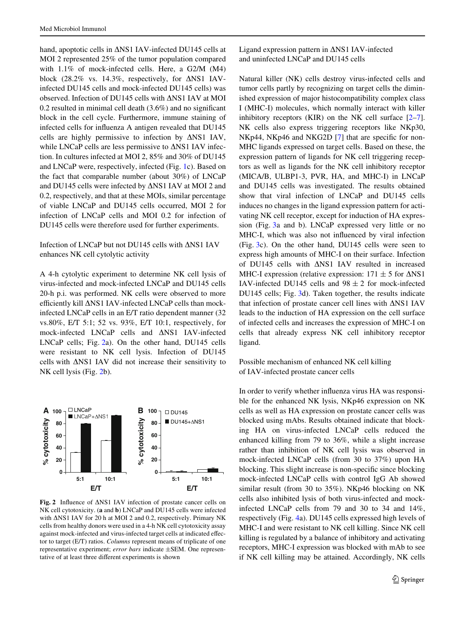hand, apoptotic cells in  $\Delta$ NS1 IAV-infected DU145 cells at MOI 2 represented 25% of the tumor population compared with 1.1% of mock-infected cells. Here, a G2/M (M4) block (28.2% vs. 14.3%, respectively, for  $\Delta$ NS1 IAVinfected DU145 cells and mock-infected DU145 cells) was observed. Infection of DU145 cells with  $\Delta$ NS1 IAV at MOI 0.2 resulted in minimal cell death  $(3.6\%)$  and no significant block in the cell cycle. Furthermore, immune staining of infected cells for influenza A antigen revealed that DU145 cells are highly permissive to infection by  $\Delta$ NS1 IAV, while LNCaP cells are less permissive to  $\Delta$ NS1 IAV infection. In cultures infected at MOI 2, 85% and 30% of DU145 and LNCaP were, respectively, infected (Fig. [1c](#page-3-0)). Based on the fact that comparable number (about 30%) of LNCaP and DU145 cells were infected by  $\Delta$ NS1 IAV at MOI 2 and 0.2, respectively, and that at these MOIs, similar percentage of viable LNCaP and DU145 cells occurred, MOI 2 for infection of LNCaP cells and MOI 0.2 for infection of DU145 cells were therefore used for further experiments.

# Infection of LNCaP but not DU145 cells with  $\Delta$ NS1 IAV enhances NK cell cytolytic activity

A 4-h cytolytic experiment to determine NK cell lysis of virus-infected and mock-infected LNCaP and DU145 cells 20-h p.i. was performed. NK cells were observed to more efficiently kill  $\Delta$ NS1 IAV-infected LNCaP cells than mockinfected LNCaP cells in an E/T ratio dependent manner (32 vs.80%, E/T 5:1; 52 vs. 93%, E/T 10:1, respectively, for mock-infected LNCaP cells and  $\triangle$ NS1 IAV-infected LNCaP cells; Fig. [2](#page-4-0)a). On the other hand, DU145 cells were resistant to NK cell lysis. Infection of DU145 cells with  $\Delta$ NS1 IAV did not increase their sensitivity to NK cell lysis (Fig. [2](#page-4-0)b).



<span id="page-4-0"></span>Fig. 2 Influence of  $\triangle$ NS1 IAV infection of prostate cancer cells on NK cell cytotoxicity. (**a** and **b**) LNCaP and DU145 cells were infected with  $\Delta$ NS1 IAV for 20 h at MOI 2 and 0.2, respectively. Primary NK cells from healthy donors were used in a 4-h NK cell cytotoxicity assay against mock-infected and virus-infected target cells at indicated effector to target (E/T) ratios. *Columns* represent means of triplicate of one representative experiment; *error bars* indicate  $\pm$ SEM. One representative of at least three different experiments is shown

Ligand expression pattern in  $\Delta$ NS1 IAV-infected and uninfected LNCaP and DU145 cells

Natural killer (NK) cells destroy virus-infected cells and tumor cells partly by recognizing on target cells the diminished expression of major histocompatibility complex class I (MHC-I) molecules, which normally interact with killer inhibitory receptors (KIR) on the NK cell surface  $[2-7]$  $[2-7]$ . NK cells also express triggering receptors like NKp30,  $NKp44$ ,  $NKp46$  and  $NKG2D$  [\[7](#page-8-0)] that are specific for non-MHC ligands expressed on target cells. Based on these, the expression pattern of ligands for NK cell triggering receptors as well as ligands for the NK cell inhibitory receptor (MICA/B, ULBP1-3, PVR, HA, and MHC-I) in LNCaP and DU145 cells was investigated. The results obtained show that viral infection of LNCaP and DU145 cells induces no changes in the ligand expression pattern for activating NK cell receptor, except for induction of HA expression (Fig. [3](#page-5-0)a and b). LNCaP expressed very little or no MHC-I, which was also not influenced by viral infection (Fig. [3c](#page-5-0)). On the other hand, DU145 cells were seen to express high amounts of MHC-I on their surface. Infection of DU145 cells with  $\Delta$ NS1 IAV resulted in increased MHC-I expression (relative expression:  $171 \pm 5$  for  $\Delta$ NS1 IAV-infected DU145 cells and  $98 \pm 2$  for mock-infected DU145 cells; Fig. [3d](#page-5-0)). Taken together, the results indicate that infection of prostate cancer cell lines with  $\triangle$ NS1 IAV leads to the induction of HA expression on the cell surface of infected cells and increases the expression of MHC-I on cells that already express NK cell inhibitory receptor ligand.

Possible mechanism of enhanced NK cell killing of IAV-infected prostate cancer cells

In order to verify whether influenza virus HA was responsible for the enhanced NK lysis, NKp46 expression on NK cells as well as HA expression on prostate cancer cells was blocked using mAbs. Results obtained indicate that blocking HA on virus-infected LNCaP cells reduced the enhanced killing from 79 to 36%, while a slight increase rather than inhibition of NK cell lysis was observed in mock-infected LNCaP cells (from 30 to 37%) upon HA blocking. This slight increase is non-specific since blocking mock-infected LNCaP cells with control IgG Ab showed similar result (from 30 to 35%). NKp46 blocking on NK cells also inhibited lysis of both virus-infected and mockinfected LNCaP cells from 79 and 30 to 34 and 14%, respectively (Fig. [4](#page-5-1)a). DU145 cells expressed high levels of MHC-I and were resistant to NK cell killing. Since NK cell killing is regulated by a balance of inhibitory and activating receptors, MHC-I expression was blocked with mAb to see if NK cell killing may be attained. Accordingly, NK cells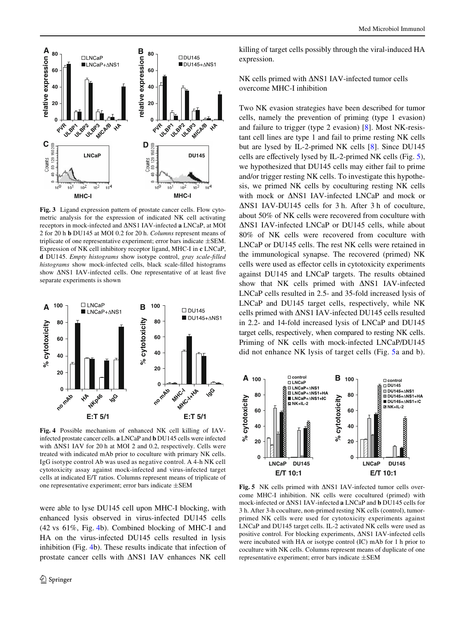

<span id="page-5-0"></span>**Fig. 3** Ligand expression pattern of prostate cancer cells. Flow cytometric analysis for the expression of indicated NK cell activating receptors in mock-infected and NS1 IAV-infected **a** LNCaP, at MOI 2 for 20 h **b** DU145 at MOI 0.2 for 20 h. *Columns* represent means of triplicate of one representative experiment; error bars indicate  $\pm$ SEM. Expression of NK cell inhibitory receptor ligand, MHC-I in **c** LNCaP, **d** DU145. *Empty histograms* show isotype control, *gray scale-filled* histograms show mock-infected cells, black scale-filled histograms show  $\Delta$ NS1 IAV-infected cells. One representative of at least five separate experiments is shown



<span id="page-5-1"></span>**Fig. 4** Possible mechanism of enhanced NK cell killing of IAVinfected prostate cancer cells. **a** LNCaP and **b** DU145 cells were infected with  $\Delta$ NS1 IAV for 20 h at MOI 2 and 0.2, respectively. Cells were treated with indicated mAb prior to coculture with primary NK cells. IgG isotype control Ab was used as negative control. A 4-h NK cell cytotoxicity assay against mock-infected and virus-infected target cells at indicated E/T ratios. Columns represent means of triplicate of one representative experiment; error bars indicate  $\pm$ SEM

were able to lyse DU145 cell upon MHC-I blocking, with enhanced lysis observed in virus-infected DU145 cells (42 vs 61%, Fig. [4](#page-5-1)b). Combined blocking of MHC-I and HA on the virus-infected DU145 cells resulted in lysis inhibition (Fig. [4b](#page-5-1)). These results indicate that infection of prostate cancer cells with  $\Delta$ NS1 IAV enhances NK cell killing of target cells possibly through the viral-induced HA expression.

NK cells primed with  $\Delta$ NS1 IAV-infected tumor cells overcome MHC-I inhibition

Two NK evasion strategies have been described for tumor cells, namely the prevention of priming (type 1 evasion) and failure to trigger (type 2 evasion) [[8\]](#page-8-1). Most NK-resistant cell lines are type 1 and fail to prime resting NK cells but are lysed by IL-2-primed NK cells [\[8](#page-8-1)]. Since DU145 cells are effectively lysed by IL-2-primed NK cells (Fig.  $5$ ), we hypothesized that DU145 cells may either fail to prime and/or trigger resting NK cells. To investigate this hypothesis, we primed NK cells by coculturing resting NK cells with mock or  $\triangle$ NS1 IAV-infected LNCaP and mock or NS1 IAV-DU145 cells for 3 h. After 3 h of coculture, about 50% of NK cells were recovered from coculture with NS1 IAV-infected LNCaP or DU145 cells, while about 80% of NK cells were recovered from coculture with LNCaP or DU145 cells. The rest NK cells were retained in the immunological synapse. The recovered (primed) NK cells were used as effector cells in cytotoxicity experiments against DU145 and LNCaP targets. The results obtained show that NK cells primed with  $\Delta$ NS1 IAV-infected LNCaP cells resulted in 2.5- and 35-fold increased lysis of LNCaP and DU145 target cells, respectively, while NK cells primed with  $\Delta$ NS1 IAV-infected DU145 cells resulted in 2.2- and 14-fold increased lysis of LNCaP and DU145 target cells, respectively, when compared to resting NK cells. Priming of NK cells with mock-infected LNCaP/DU145 did not enhance NK lysis of target cells (Fig. [5a](#page-5-2) and b).



<span id="page-5-2"></span>Fig. 5 NK cells primed with  $\Delta$ NS1 IAV-infected tumor cells overcome MHC-I inhibition. NK cells were cocultured (primed) with mock-infected or NS1 IAV-infected **a** LNCaP and **b** DU145 cells for 3 h. After 3-h coculture, non-primed resting NK cells (control), tumorprimed NK cells were used for cytotoxicity experiments against LNCaP and DU145 target cells. IL-2 activated NK cells were used as positive control. For blocking experiments, NS1 IAV-infected cells were incubated with HA or isotype control (IC) mAb for 1 h prior to coculture with NK cells. Columns represent means of duplicate of one representative experiment; error bars indicate  $\pm$ SEM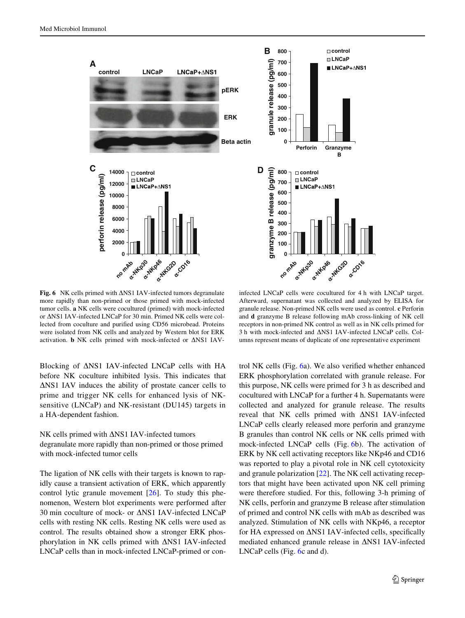

<span id="page-6-0"></span>Fig. 6 NK cells primed with  $\Delta$ NS1 IAV-infected tumors degranulate more rapidly than non-primed or those primed with mock-infected tumor cells. **a** NK cells were cocultured (primed) with mock-infected or  $\Delta$ NS1 IAV-infected LNCaP for 30 min. Primed NK cells were collected from coculture and purified using CD56 microbead. Proteins were isolated from NK cells and analyzed by Western blot for ERK activation.  $\bf{b}$  NK cells primed with mock-infected or  $\Delta$ NS1 IAV-

Blocking of  $\Delta$ NS1 IAV-infected LNCaP cells with HA before NK coculture inhibited lysis. This indicates that  $\Delta$ NS1 IAV induces the ability of prostate cancer cells to prime and trigger NK cells for enhanced lysis of NKsensitive (LNCaP) and NK-resistant (DU145) targets in a HA-dependent fashion.

NK cells primed with  $\Delta$ NS1 IAV-infected tumors degranulate more rapidly than non-primed or those primed with mock-infected tumor cells

The ligation of NK cells with their targets is known to rapidly cause a transient activation of ERK, which apparently control lytic granule movement  $[26]$ . To study this phenomenon, Western blot experiments were performed after 30 min coculture of mock- or NS1 IAV-infected LNCaP cells with resting NK cells. Resting NK cells were used as control. The results obtained show a stronger ERK phosphorylation in NK cells primed with  $\Delta$ NS1 IAV-infected LNCaP cells than in mock-infected LNCaP-primed or con-

infected LNCaP cells were cocultured for 4 h with LNCaP target. Afterward, supernatant was collected and analyzed by ELISA for granule release. Non-primed NK cells were used as control. **c** Perforin and **d** granzyme B release following mAb cross-linking of NK cell receptors in non-primed NK control as well as in NK cells primed for 3 h with mock-infected and  $\Delta$ NS1 IAV-infected LNCaP cells. Columns represent means of duplicate of one representative experiment

a. NKG2O

α**-CD16**

**0**

**0**

no mAbo

α**-NKp30**

**a-NKp46** 

**Perforin Granzyme**

**control LNCaP**

**■ LNCaP+**∆NS1

**B**

**control LNCaP**

LNCaP+ANS1

trol NK cells (Fig.  $6a$ ). We also verified whether enhanced ERK phosphorylation correlated with granule release. For this purpose, NK cells were primed for 3 h as described and cocultured with LNCaP for a further 4 h. Supernatants were collected and analyzed for granule release. The results reveal that NK cells primed with  $\triangle$ NS1 IAV-infected LNCaP cells clearly released more perforin and granzyme B granules than control NK cells or NK cells primed with mock-infected LNCaP cells (Fig. [6b](#page-6-0)). The activation of ERK by NK cell activating receptors like NKp46 and CD16 was reported to play a pivotal role in NK cell cytotoxicity and granule polarization [\[22](#page-8-15)]. The NK cell activating receptors that might have been activated upon NK cell priming were therefore studied. For this, following 3-h priming of NK cells, perforin and granzyme B release after stimulation of primed and control NK cells with mAb as described was analyzed. Stimulation of NK cells with NKp46, a receptor for HA expressed on  $\Delta$ NS1 IAV-infected cells, specifically mediated enhanced granule release in  $\Delta$ NS1 IAV-infected LNCaP cells (Fig. [6](#page-6-0)c and d).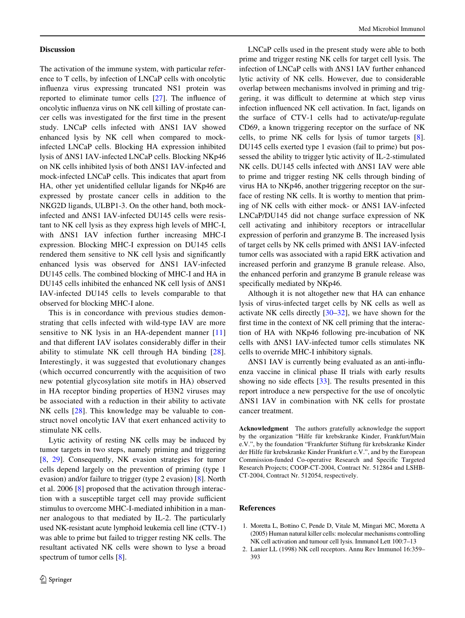#### **Discussion**

The activation of the immune system, with particular reference to T cells, by infection of LNCaP cells with oncolytic influenza virus expressing truncated NS1 protein was reported to eliminate tumor cells  $[27]$  $[27]$ . The influence of oncolytic influenza virus on NK cell killing of prostate cancer cells was investigated for the first time in the present study. LNCaP cells infected with  $\Delta$ NS1 IAV showed enhanced lysis by NK cell when compared to mockinfected LNCaP cells. Blocking HA expression inhibited lysis of  $\Delta$ NS1 IAV-infected LNCaP cells. Blocking NKp46 on NK cells inhibited lysis of both NS1 IAV-infected and mock-infected LNCaP cells. This indicates that apart from HA, other yet unidentified cellular ligands for NKp46 are expressed by prostate cancer cells in addition to the NKG2D ligands, ULBP1-3. On the other hand, both mockinfected and  $\Delta$ NS1 IAV-infected DU145 cells were resistant to NK cell lysis as they express high levels of MHC-I, with  $\triangle$ NS1 IAV infection further increasing MHC-I expression. Blocking MHC-I expression on DU145 cells rendered them sensitive to NK cell lysis and significantly enhanced lysis was observed for  $\Delta$ NS1 IAV-infected DU145 cells. The combined blocking of MHC-I and HA in DU145 cells inhibited the enhanced NK cell lysis of  $\Delta$ NS1 IAV-infected DU145 cells to levels comparable to that observed for blocking MHC-I alone.

This is in concordance with previous studies demonstrating that cells infected with wild-type IAV are more sensitive to NK lysis in an HA-dependent manner [[11\]](#page-8-4) and that different IAV isolates considerably differ in their ability to stimulate NK cell through HA binding [[28](#page-8-21)]. Interestingly, it was suggested that evolutionary changes (which occurred concurrently with the acquisition of two new potential glycosylation site motifs in HA) observed in HA receptor binding properties of H3N2 viruses may be associated with a reduction in their ability to activate NK cells [[28\]](#page-8-21). This knowledge may be valuable to construct novel oncolytic IAV that exert enhanced activity to stimulate NK cells.

Lytic activity of resting NK cells may be induced by tumor targets in two steps, namely priming and triggering [\[8](#page-8-1), [29\]](#page-8-22). Consequently, NK evasion strategies for tumor cells depend largely on the prevention of priming (type 1 evasion) and/or failure to trigger (type 2 evasion) [[8\]](#page-8-1). North et al. 2006 [\[8](#page-8-1)] proposed that the activation through interaction with a susceptible target cell may provide sufficient stimulus to overcome MHC-I-mediated inhibition in a manner analogous to that mediated by IL-2. The particularly used NK-resistant acute lymphoid leukemia cell line (CTV-1) was able to prime but failed to trigger resting NK cells. The resultant activated NK cells were shown to lyse a broad spectrum of tumor cells [[8](#page-8-1)].

LNCaP cells used in the present study were able to both prime and trigger resting NK cells for target cell lysis. The infection of LNCaP cells with  $\Delta$ NS1 IAV further enhanced lytic activity of NK cells. However, due to considerable overlap between mechanisms involved in priming and triggering, it was difficult to determine at which step virus infection influenced NK cell activation. In fact, ligands on the surface of CTV-1 cells had to activate/up-regulate CD69, a known triggering receptor on the surface of NK cells, to prime NK cells for lysis of tumor targets [\[8](#page-8-1)]. DU145 cells exerted type 1 evasion (fail to prime) but possessed the ability to trigger lytic activity of IL-2-stimulated NK cells. DU145 cells infected with  $\Delta$ NS1 IAV were able to prime and trigger resting NK cells through binding of virus HA to NKp46, another triggering receptor on the surface of resting NK cells. It is worthy to mention that priming of NK cells with either mock- or  $\Delta$ NS1 IAV-infected LNCaP/DU145 did not change surface expression of NK cell activating and inhibitory receptors or intracellular expression of perforin and granzyme B. The increased lysis of target cells by NK cells primed with  $\Delta$ NS1 IAV-infected tumor cells was associated with a rapid ERK activation and increased perforin and granzyme B granule release. Also, the enhanced perforin and granzyme B granule release was specifically mediated by NKp46.

Although it is not altogether new that HA can enhance lysis of virus-infected target cells by NK cells as well as activate NK cells directly [[30–](#page-8-23)[32\]](#page-8-24), we have shown for the first time in the context of NK cell priming that the interaction of HA with NKp46 following pre-incubation of NK cells with  $\Delta$ NS1 IAV-infected tumor cells stimulates NK cells to override MHC-I inhibitory signals.

 $\triangle$ NS1 IAV is currently being evaluated as an anti-influenza vaccine in clinical phase II trials with early results showing no side effects  $[33]$  $[33]$ . The results presented in this report introduce a new perspective for the use of oncolytic  $\Delta$ NS1 IAV in combination with NK cells for prostate cancer treatment.

**Acknowledgment** The authors gratefully acknowledge the support by the organization "Hilfe für krebskranke Kinder, Frankfurt/Main e.V.", by the foundation "Frankfurter Stiftung für krebskranke Kinder der Hilfe für krebskranke Kinder Frankfurt e.V.", and by the European Commission-funded Co-operative Research and Specific Targeted Research Projects; COOP-CT-2004, Contract Nr. 512864 and LSHB-CT-2004, Contract Nr. 512054, respectively.

#### **References**

- <span id="page-7-0"></span>1. Moretta L, Bottino C, Pende D, Vitale M, Mingari MC, Moretta A (2005) Human natural killer cells: molecular mechanisms controlling NK cell activation and tumour cell lysis. Immunol Lett 100:7–13
- <span id="page-7-1"></span>2. Lanier LL (1998) NK cell receptors. Annu Rev Immunol 16:359– 393